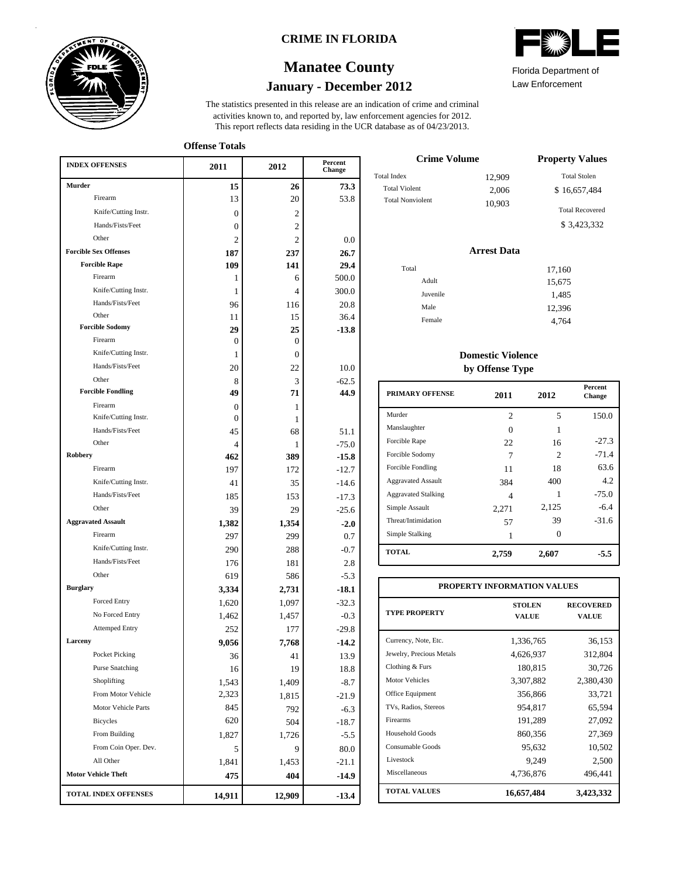

### **CRIME IN FLORIDA**

# **January - December 2012 Manatee County**



Law Enforcement Florida Department of

| <b>INDEX OFFENSES</b>             | 2011                         | 2012           | Percent<br>Change |
|-----------------------------------|------------------------------|----------------|-------------------|
| Murder                            | 15                           | 26             | 73.3              |
| Firearm                           | 13                           | 20             | 53.8              |
| Knife/Cutting Instr.              | $\mathbf{0}$                 | 2              |                   |
| Hands/Fists/Feet                  | 0                            | $\overline{c}$ |                   |
| Other                             | $\overline{c}$               | $\overline{c}$ | 0.0               |
| <b>Forcible Sex Offenses</b>      | 187                          | 237            | 26.7              |
| <b>Forcible Rape</b>              | 109                          | 141            | 29.4              |
| Firearm                           | 1                            | 6              | 500.0             |
| Knife/Cutting Instr.              | 1                            | 4              | 300.0             |
| Hands/Fists/Feet                  | 96                           | 116            | 20.8              |
| Other                             | 11                           | 15             | 36.4              |
| <b>Forcible Sodomy</b><br>Firearm | 29                           | 25             | $-13.8$           |
| Knife/Cutting Instr.              | $\Omega$                     | 0              |                   |
| Hands/Fists/Feet                  | 1                            | $\Omega$       |                   |
| Other                             | 20                           | 22             | 10.0              |
| <b>Forcible Fondling</b>          | 8<br>49                      | 3<br>71        | $-62.5$<br>44.9   |
| Firearm                           |                              |                |                   |
| Knife/Cutting Instr.              | $\mathbf{0}$<br>$\mathbf{0}$ | 1<br>1         |                   |
| Hands/Fists/Feet                  | 45                           | 68             | 51.1              |
| Other                             | $\overline{\mathcal{L}}$     | 1              | $-75.0$           |
| <b>Robbery</b>                    | 462                          | 389            | $-15.8$           |
| Firearm                           | 197                          | 172            | $-12.7$           |
| Knife/Cutting Instr.              | 41                           | 35             | $-14.6$           |
| Hands/Fists/Feet                  | 185                          | 153            | $-17.3$           |
| Other                             | 39                           | 29             | $-25.6$           |
| <b>Aggravated Assault</b>         | 1,382                        | 1,354          | $-2.0$            |
| Firearm                           | 297                          | 299            | 0.7               |
| Knife/Cutting Instr.              | 290                          | 288            | $-0.7$            |
| Hands/Fists/Feet                  | 176                          | 181            | 2.8               |
| Other                             | 619                          | 586            | $-5.3$            |
| <b>Burglary</b>                   | 3,334                        | 2,731          | $-18.1$           |
| <b>Forced Entry</b>               | 1,620                        | 1,097          | $-32.3$           |
| No Forced Entry                   | 1,462                        | 1,457          | $-0.3$            |
| <b>Attemped Entry</b>             | 252                          | 177            | $-29.8$           |
| Larceny                           | 9,056                        | 7,768          | $-14.2$           |
| Pocket Picking                    | 36                           | 41             | 13.9              |
| <b>Purse Snatching</b>            | 16                           | 19             | 18.8              |
| Shoplifting                       | 1,543                        | 1,409          | $-8.7$            |
| From Motor Vehicle                | 2,323                        | 1,815          | $-21.9$           |
| Motor Vehicle Parts               | 845                          | 792            | $-6.3$            |
| Bicycles                          | 620                          | 504            | $-18.7$           |
| From Building                     | 1,827                        | 1,726          | $-5.5$            |
| From Coin Oper. Dev.              | 5                            | 9              | 80.0              |
| All Other                         | 1,841                        | 1,453          | $-21.1$           |
| <b>Motor Vehicle Theft</b>        | 475                          | 404            | $-14.9$           |
| <b>TOTAL INDEX OFFENSES</b>       | 14,911                       | 12,909         | $-13.4$           |

| <b>Crime Volume</b>     | <b>Property Values</b> |                                       |
|-------------------------|------------------------|---------------------------------------|
| Total Index             | 12.909                 | <b>Total Stolen</b>                   |
| <b>Total Violent</b>    | 2,006                  | \$16,657,484                          |
| <b>Total Nonviolent</b> | 10,903                 | <b>Total Recovered</b><br>\$3.423.332 |

### **Arrest Data**

| Total |          | 17,160 |
|-------|----------|--------|
|       | Adult    | 15,675 |
|       | Juvenile | 1,485  |
|       | Male     | 12,396 |
|       | Female   | 4,764  |
|       |          |        |

### **Domestic Violence by Offense Type**

| <b>PRIMARY OFFENSE</b>     | 2011           | 2012                        | <b>Percent</b><br>Change |
|----------------------------|----------------|-----------------------------|--------------------------|
| Murder                     | $\overline{c}$ | 5                           | 150.0                    |
| Manslaughter               | 0              | 1                           |                          |
| Forcible Rape              | 22             | 16                          | $-27.3$                  |
| Forcible Sodomy            | 7              | $\mathcal{D}_{\mathcal{L}}$ | $-71.4$                  |
| Forcible Fondling          | 11             | 18                          | 63.6                     |
| <b>Aggravated Assault</b>  | 384            | 400                         | 4.2                      |
| <b>Aggravated Stalking</b> | 4              | 1                           | $-75.0$                  |
| Simple Assault             | 2,271          | 2,125                       | $-6.4$                   |
| Threat/Intimidation        | 57             | 39                          | $-31.6$                  |
| Simple Stalking            |                | 0                           |                          |
| <b>TOTAL</b>               | 2,759          | 2,607                       | -5.5                     |

| PROPERTY INFORMATION VALUES |                               |                           |  |  |  |  |  |
|-----------------------------|-------------------------------|---------------------------|--|--|--|--|--|
| <b>TYPE PROPERTY</b>        | <b>STOLEN</b><br><b>VALUE</b> | <b>RECOVERED</b><br>VALUE |  |  |  |  |  |
| Currency, Note, Etc.        | 1,336,765                     | 36,153                    |  |  |  |  |  |
| Jewelry, Precious Metals    | 4,626,937                     | 312,804                   |  |  |  |  |  |
| Clothing & Furs             | 180,815                       | 30,726                    |  |  |  |  |  |
| <b>Motor Vehicles</b>       | 3,307,882                     | 2,380,430                 |  |  |  |  |  |
| Office Equipment            | 356,866                       | 33,721                    |  |  |  |  |  |
| TVs, Radios, Stereos        | 954,817                       | 65,594                    |  |  |  |  |  |
| Firearms                    | 191,289                       | 27,092                    |  |  |  |  |  |
| Household Goods             | 860,356                       | 27,369                    |  |  |  |  |  |
| Consumable Goods            | 95,632                        | 10,502                    |  |  |  |  |  |
| Livestock                   | 9,249                         | 2,500                     |  |  |  |  |  |
| Miscellaneous               | 4,736,876                     | 496,441                   |  |  |  |  |  |
| <b>TOTAL VALUES</b>         | 16,657,484                    | 3,423,332                 |  |  |  |  |  |